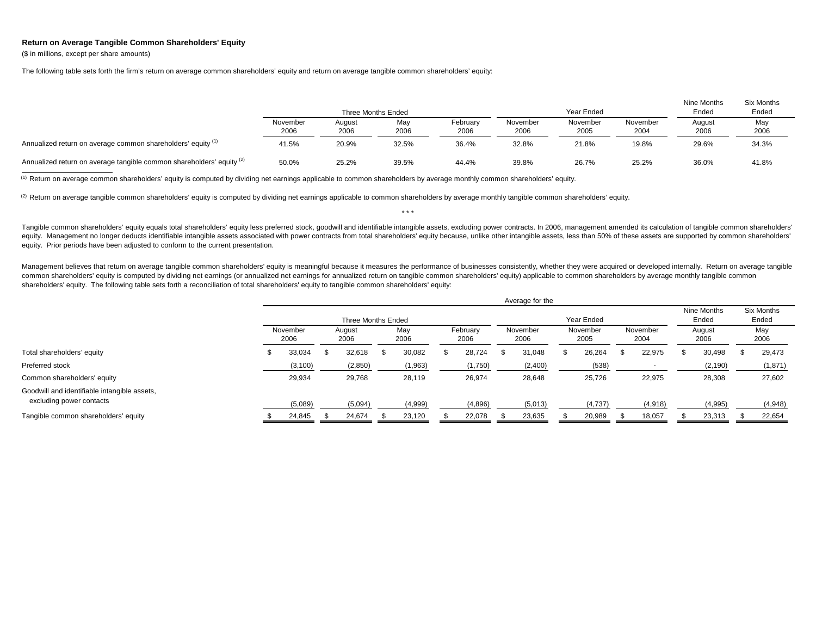## **Return on Average Tangible Common Shareholders' Equity**

(\$ in millions, except per share amounts)

The following table sets forth the firm's return on average common shareholders' equity and return on average tangible common shareholders' equity:

|                                                                       |                  |                | Three Months Ended |                  |                  | Year Ended       |                  | Nine Months<br>Ended | Six Months<br>Ended |
|-----------------------------------------------------------------------|------------------|----------------|--------------------|------------------|------------------|------------------|------------------|----------------------|---------------------|
|                                                                       | November<br>2006 | August<br>2006 | May<br>2006        | February<br>2006 | November<br>2006 | November<br>2005 | November<br>2004 | August<br>2006       | May<br>2006         |
| Annualized return on average common shareholders' equity (1)          | 41.5%            | 20.9%          | 32.5%              | 36.4%            | 32.8%            | 21.8%            | 19.8%            | 29.6%                | 34.3%               |
| Annualized return on average tangible common shareholders' equity (2) | 50.0%            | 25.2%          | 39.5%              | 44.4%            | 39.8%            | 26.7%            | 25.2%            | 36.0%                | 41.8%               |

<sup>(1)</sup> Return on average common shareholders' equity is computed by dividing net earnings applicable to common shareholders by average monthly common shareholders' equity.

<sup>(2)</sup> Return on average tangible common shareholders' equity is computed by dividing net earnings applicable to common shareholders by average monthly tangible common shareholders' equity.

Tangible common shareholders' equity equals total shareholders' equity less preferred stock, goodwill and identifiable intangible assets, excluding power contracts. In 2006, management amended its calculation of tangible c equity. Management no longer deducts identifiable intangible assets associated with power contracts from total shareholders' equity because, unlike other intangible assets, less than 50% of these assets are supported by co equity. Prior periods have been adjusted to conform to the current presentation.

\* \* \*

Management believes that return on average tangible common shareholders' equity is meaningful because it measures the performance of businesses consistently, whether they were acquired or developed internally. Return on av common shareholders' equity is computed by dividing net earnings (or annualized net earnings for annualized return on tangible common shareholders' equity) applicable to common shareholders by average monthly tangible comm shareholders' equity. The following table sets forth a reconciliation of total shareholders' equity to tangible common shareholders' equity:

|                                                                          |   |                  |    |                    |             |                  | Average for the  |                  |                  |                          |                      |                     |
|--------------------------------------------------------------------------|---|------------------|----|--------------------|-------------|------------------|------------------|------------------|------------------|--------------------------|----------------------|---------------------|
|                                                                          |   |                  |    | Three Months Ended |             |                  |                  | Year Ended       |                  |                          | Nine Months<br>Ended | Six Months<br>Ended |
|                                                                          |   | November<br>2006 |    | August<br>2006     | May<br>2006 | February<br>2006 | November<br>2006 | November<br>2005 | November<br>2004 | August<br>2006<br>30,498 |                      | May<br>2006         |
| Total shareholders' equity                                               | Ф | 33,034           | "ზ | 32,618             | 30,082      | 28,724           | 31,048           | 26,264           | 22,975           |                          |                      | 29,473              |
| Preferred stock                                                          |   | (3, 100)         |    | (2,850)            | (1,963)     | (1,750)          | (2,400)          | (538)            |                  |                          | (2, 190)             | (1,871)             |
| Common shareholders' equity                                              |   | 29,934           |    | 29,768             | 28,119      | 26,974           | 28,648           | 25,726           | 22,975           |                          | 28,308               | 27,602              |
| Goodwill and identifiable intangible assets,<br>excluding power contacts |   | (5,089)          |    | (5,094)            | (4,999)     | (4,896)          | (5,013)          | (4,737)          | (4,918)          |                          | (4,995)              | (4,948)             |
| Tangible common shareholders' equity                                     |   | 24,845           |    | 24,674             | 23,120      | 22,078           | 23,635           | 20,989           | 18,057           |                          | 23,313               | 22,654              |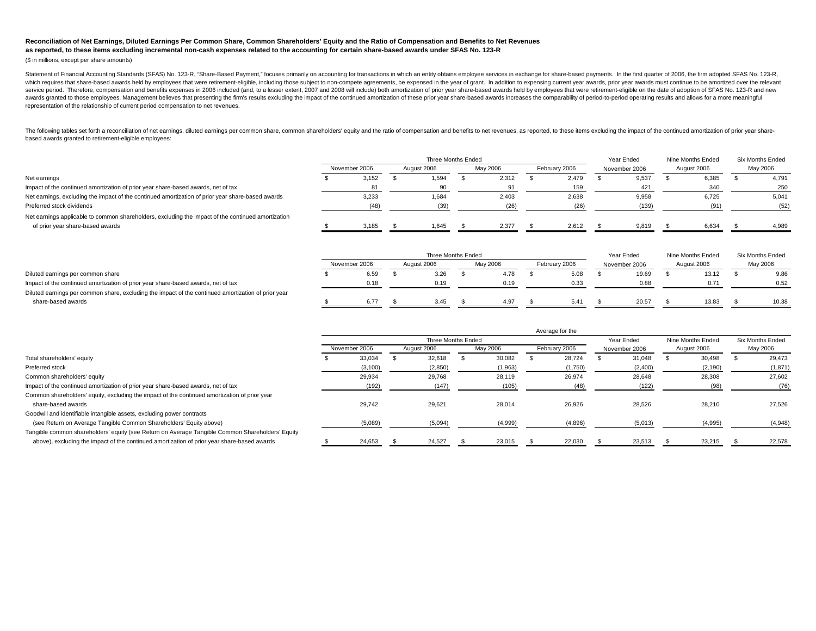## **Reconciliation of Net Earnings, Diluted Earnings Per Common Share, Common Shareholders' Equity and the Ratio of Compensation and Benefits to Net Revenuesas reported, to these items excluding incremental non-cash expenses related to the accounting for certain share-based awards under SFAS No. 123-R**

(\$ in millions, except per share amounts)

Statement of Financial Accounting Standards (SFAS) No. 123-R, "Share-Based Payment," focuses primarily on accounting for transactions in which an entity obtains employee services in exchange for share-based payments. In th which requires that share-based awards held by employees that were retirement-eligible, including those subject to non-compete agreements, be expensed in the year of grant. In addition to expensing current year awards, pri service period. Therefore, compensation and benefits expenses in 2006 included (and, to a lesser extent, 2007 and 2008 will include) both amortization of prior year share-based awards held by employees that were retirement awards granted to those employees. Management believes that presenting the firm's results excluding the impact of the continued amortization of these prior year share-based awards increases the comparability of period-to-p representation of the relationship of current period compensation to net revenues.

The following tables set forth a reconciliation of net earnings, diluted earnings per common share, common shareholders' equity and the ratio of compensation and benefits to net revenues, as reported, to these items exclud based awards granted to retirement-eligible employees:

|                                                                                                    |               |       | Three Months Ended |          |               | Year Ended    | Nine Months Ended | Six Months Ended |
|----------------------------------------------------------------------------------------------------|---------------|-------|--------------------|----------|---------------|---------------|-------------------|------------------|
|                                                                                                    | November 2006 |       | August 2006        | May 2006 | February 2006 | November 2006 | August 2006       | May 2006         |
| Net earnings                                                                                       |               | 3,152 | 1,594              | 2,312    | 2.479         | 9,537         | 6,385             | 4,791            |
| Impact of the continued amortization of prior year share-based awards, net of tax                  |               | 81    |                    |          | 159           | 421           | 340               | 250              |
| Net earnings, excluding the impact of the continued amortization of prior year share-based awards  |               | 3,233 | 1,684              | 2,403    | 2,638         | 9,958         | 6,725             | 5,041            |
| Preferred stock dividends                                                                          |               | (48)  | (39)               | (26)     | (26)          | (139)         | (91)              | (52)             |
| Net earnings applicable to common shareholders, excluding the impact of the continued amortization |               |       |                    |          |               |               |                   |                  |
| of prior year share-based awards                                                                   |               | 3.185 | 1,645              | 2.377    | 2.612         | 9.819         | 6.634             | 4,989            |

|                                                                                                     |               |      | Three Months Ended |          |               | Nine Months Ended<br>Year Ended<br>August 2006<br>November 2006<br>19.69<br>13.12<br>0.88<br>0.71 |  |       | Six Months Ended |
|-----------------------------------------------------------------------------------------------------|---------------|------|--------------------|----------|---------------|---------------------------------------------------------------------------------------------------|--|-------|------------------|
|                                                                                                     | November 2006 |      | August 2006        | May 2006 | February 2006 |                                                                                                   |  |       | May 2006         |
| Diluted earnings per common share                                                                   |               | 6.59 | 3.26               | 4.78     | 5.08          |                                                                                                   |  |       | 9.86             |
| Impact of the continued amortization of prior year share-based awards, net of tax                   |               | 0.18 | 0.19               | 0.19     | 0.33          |                                                                                                   |  |       | 0.52             |
| Diluted earnings per common share, excluding the impact of the continued amortization of prior year |               |      |                    |          |               |                                                                                                   |  |       |                  |
| share-based awards                                                                                  |               | 6.77 | 3.45               | 4.97     | 5.41          | 20.57                                                                                             |  | 13.83 | 10.38            |

|                                                                                                  |               |                    |          | Average for the |               |                   |                  |
|--------------------------------------------------------------------------------------------------|---------------|--------------------|----------|-----------------|---------------|-------------------|------------------|
|                                                                                                  |               | Three Months Ended |          |                 | Year Ended    | Nine Months Ended | Six Months Ended |
|                                                                                                  | November 2006 | August 2006        | May 2006 | February 2006   | November 2006 | August 2006       | May 2006         |
| Total shareholders' equity                                                                       | 33,034        | 32,618             | 30.082   | 28.724          | 31,048        | 30.498            | 29.473           |
| Preferred stock                                                                                  | (3, 100)      | (2,850)            | (1,963)  | (1,750)         | (2,400)       | (2, 190)          | (1,871)          |
| Common shareholders' equity                                                                      | 29,934        | 29,768             | 28.119   | 26,974          | 28.648        | 28.308            | 27,602           |
| Impact of the continued amortization of prior year share-based awards, net of tax                | (192)         | (147)              | (105)    | (48)            | (122)         | (98)              | (76)             |
| Common shareholders' equity, excluding the impact of the continued amortization of prior year    |               |                    |          |                 |               |                   |                  |
| share-based awards                                                                               | 29.742        | 29,621             | 28.014   | 26,926          | 28,526        | 28.210            | 27,526           |
| Goodwill and identifiable intangible assets, excluding power contracts                           |               |                    |          |                 |               |                   |                  |
| (see Return on Average Tangible Common Shareholders' Equity above)                               | (5,089)       | (5,094)            | (4,999)  | (4,896)         | (5,013)       | (4,995)           | (4,948)          |
| Tangible common shareholders' equity (see Return on Average Tangible Common Shareholders' Equity |               |                    |          |                 |               |                   |                  |
| above), excluding the impact of the continued amortization of prior year share-based awards      | 24,653        | 24,527             | 23,015   | 22,030          | 23,513        | 23,215            | 22,578           |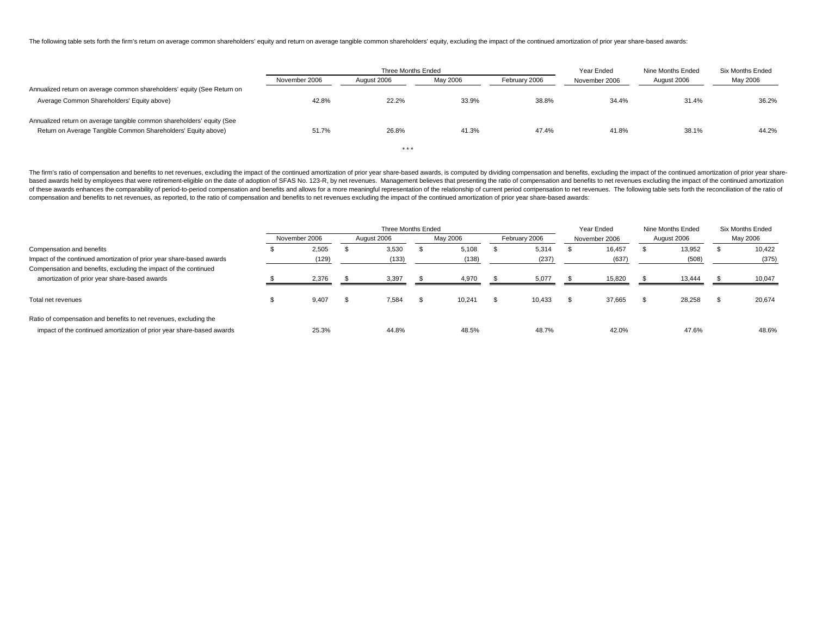The following table sets forth the firm's return on average common shareholders' equity and return on average tangible common shareholders' equity, excluding the impact of the continued amortization of prior year share-bas

|                                                                         |               | Three Months Ended |          |               | Year Ended    | Nine Months Ended | Six Months Ended |
|-------------------------------------------------------------------------|---------------|--------------------|----------|---------------|---------------|-------------------|------------------|
|                                                                         | November 2006 | August 2006        | May 2006 | February 2006 | November 2006 | August 2006       | May 2006         |
| Annualized return on average common shareholders' equity (See Return on |               |                    |          |               |               |                   |                  |
| Average Common Shareholders' Equity above)                              | 42.8%         | 22.2%              | 33.9%    | 38.8%         | 34.4%         | 31.4%             | 36.2%            |
| Annualized return on average tangible common shareholders' equity (See  |               |                    |          |               |               |                   |                  |
| Return on Average Tangible Common Shareholders' Equity above)           | 51.7%         | 26.8%              | 41.3%    | 47.4%         | 41.8%         | 38.1%             | 44.2%            |
|                                                                         |               | ***                |          |               |               |                   |                  |

The firm's ratio of compensation and benefits to net revenues, excluding the impact of the continued amortization of prior year share-based awards, is computed by dividing compensation and benefits, excluding the impact of based awards held by employees that were retirement-eligible on the date of adoption of SFAS No. 123-R, by net revenues. Management believes that presenting the ratio of compensation and benefits to net revenues excluding of these awards enhances the comparability of period-to-period compensation and benefits and allows for a more meaningful representation of the relationship of current period compensation to net revenues. The following tab compensation and benefits to net revenues, as reported, to the ratio of compensation and benefits to net revenues excluding the impact of the continued amortization of prior year share-based awards:

|                                                                       |               | Three Months Ended |          |               | Year Ended    | Nine Months Ended | Six Months Ended |
|-----------------------------------------------------------------------|---------------|--------------------|----------|---------------|---------------|-------------------|------------------|
|                                                                       | November 2006 | August 2006        | May 2006 | February 2006 | November 2006 | August 2006       | May 2006         |
| Compensation and benefits                                             | 2,505         | 3,530              | 5,108    | 5,314         | 16,457        | 13,952            | 10,422           |
| Impact of the continued amortization of prior year share-based awards | (129)         | (133)              | (138)    | (237)         | (637)         | (508)             | (375)            |
| Compensation and benefits, excluding the impact of the continued      |               |                    |          |               |               |                   |                  |
| amortization of prior year share-based awards                         | 2.376         | 3,397              | 4.970    | 5.077         | 15.820        | 13.444            | 10,047           |
| Total net revenues                                                    | 9.407         | 7,584              | 10,241   | 10,433        | 37,665        | 28,258            | 20,674           |
|                                                                       |               |                    |          |               |               |                   |                  |
| Ratio of compensation and benefits to net revenues, excluding the     |               |                    |          |               |               |                   |                  |
| impact of the continued amortization of prior year share-based awards | 25.3%         | 44.8%              | 48.5%    | 48.7%         | 42.0%         | 47.6%             | 48.6%            |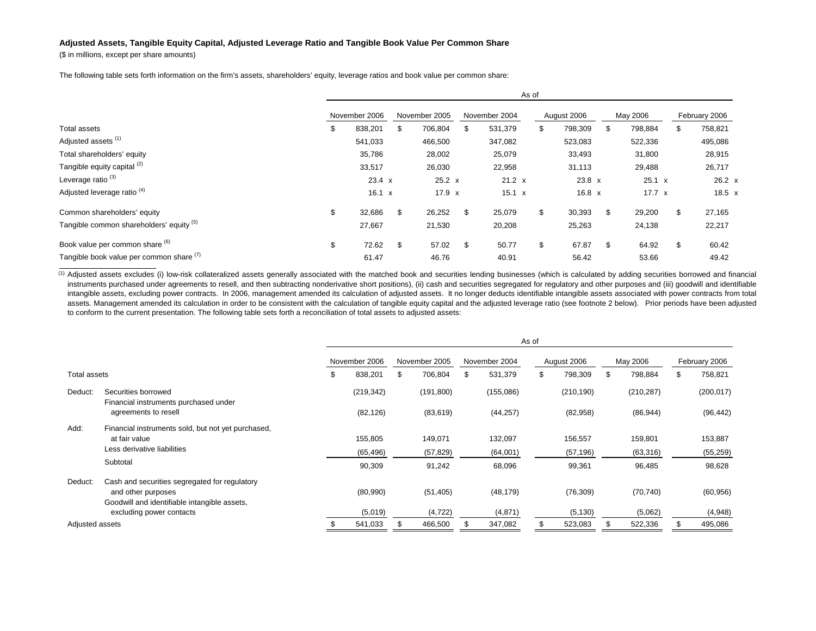## **Adjusted Assets, Tangible Equity Capital, Adjusted Leverage Ratio and Tangible Book Value Per Common Share**

(\$ in millions, except per share amounts)

The following table sets forth information on the firm's assets, shareholders' equity, leverage ratios and book value per common share:

|                                          |               |               | As of         |               |               |               |
|------------------------------------------|---------------|---------------|---------------|---------------|---------------|---------------|
|                                          | November 2006 | November 2005 | November 2004 | August 2006   | May 2006      | February 2006 |
| Total assets                             | \$<br>838,201 | \$<br>706,804 | \$<br>531,379 | \$<br>798,309 | \$<br>798,884 | \$<br>758,821 |
| Adjusted assets <sup>(1)</sup>           | 541,033       | 466,500       | 347,082       | 523,083       | 522,336       | 495,086       |
| Total shareholders' equity               | 35,786        | 28,002        | 25,079        | 33,493        | 31,800        | 28,915        |
| Tangible equity capital (2)              | 33,517        | 26,030        | 22,958        | 31,113        | 29,488        | 26,717        |
| Leverage ratio <sup>(3)</sup>            | $23.4 \times$ | $25.2 \times$ | $21.2 \times$ | $23.8 \times$ | 25.1 x        | $26.2 \times$ |
| Adjusted leverage ratio <sup>(4)</sup>   | $16.1 \times$ | $17.9 \times$ | $15.1 \times$ | $16.8 \times$ | $17.7 \times$ | 18.5 x        |
| Common shareholders' equity              | \$<br>32,686  | \$<br>26,252  | \$<br>25,079  | \$<br>30,393  | \$<br>29,200  | \$<br>27,165  |
| Tangible common shareholders' equity (5) | 27,667        | 21,530        | 20,208        | 25,263        | 24,138        | 22,217        |
| Book value per common share (6)          | \$<br>72.62   | \$<br>57.02   | \$<br>50.77   | \$<br>67.87   | \$<br>64.92   | \$<br>60.42   |
| Tangible book value per common share (1) | 61.47         | 46.76         | 40.91         | 56.42         | 53.66         | 49.42         |

(1) Adjusted assets excludes (i) low-risk collateralized assets generally associated with the matched book and securities lending businesses (which is calculated by adding securities borrowed and financial instruments purchased under agreements to resell, and then subtracting nonderivative short positions), (ii) cash and securities segregated for regulatory and other purposes and (iii) goodwill and identifiable intangible assets, excluding power contracts. In 2006, management amended its calculation of adjusted assets. It no longer deducts identifiable intangible assets associated with power contracts from total assets. Management amended its calculation in order to be consistent with the calculation of tangible equity capital and the adjusted leverage ratio (see footnote 2 below). Prior periods have been adjusted to conform to the current presentation. The following table sets forth a reconciliation of total assets to adjusted assets:

|                 |                                                              |               |               |               | As of |             |               |               |
|-----------------|--------------------------------------------------------------|---------------|---------------|---------------|-------|-------------|---------------|---------------|
|                 |                                                              | November 2006 | November 2005 | November 2004 |       | August 2006 | May 2006      | February 2006 |
| Total assets    |                                                              | \$<br>838,201 | 706,804       | \$<br>531,379 | \$    | 798,309     | \$<br>798,884 | \$<br>758,821 |
| Deduct:         | Securities borrowed<br>Financial instruments purchased under | (219, 342)    | (191, 800)    | (155,086)     |       | (210, 190)  | (210, 287)    | (200, 017)    |
|                 | agreements to resell                                         | (82, 126)     | (83, 619)     | (44, 257)     |       | (82,958)    | (86, 944)     | (96, 442)     |
| Add:            | Financial instruments sold, but not yet purchased,           |               |               |               |       |             |               |               |
|                 | at fair value                                                | 155,805       | 149,071       | 132,097       |       | 156,557     | 159,801       | 153,887       |
|                 | Less derivative liabilities                                  | (65, 496)     | (57, 829)     | (64,001)      |       | (57, 196)   | (63,316)      | (55, 259)     |
|                 | Subtotal                                                     | 90,309        | 91,242        | 68,096        |       | 99,361      | 96,485        | 98,628        |
| Deduct:         | Cash and securities segregated for regulatory                |               |               |               |       |             |               |               |
|                 | and other purposes                                           | (80,990)      | (51, 405)     | (48, 179)     |       | (76, 309)   | (70, 740)     | (60, 956)     |
|                 | Goodwill and identifiable intangible assets,                 |               |               |               |       |             |               |               |
|                 | excluding power contacts                                     | (5,019)       | (4, 722)      | (4,871)       |       | (5, 130)    | (5,062)       | (4,948)       |
| Adjusted assets |                                                              | 541,033       | 466,500       | 347,082       |       | 523,083     | 522,336       | 495,086       |